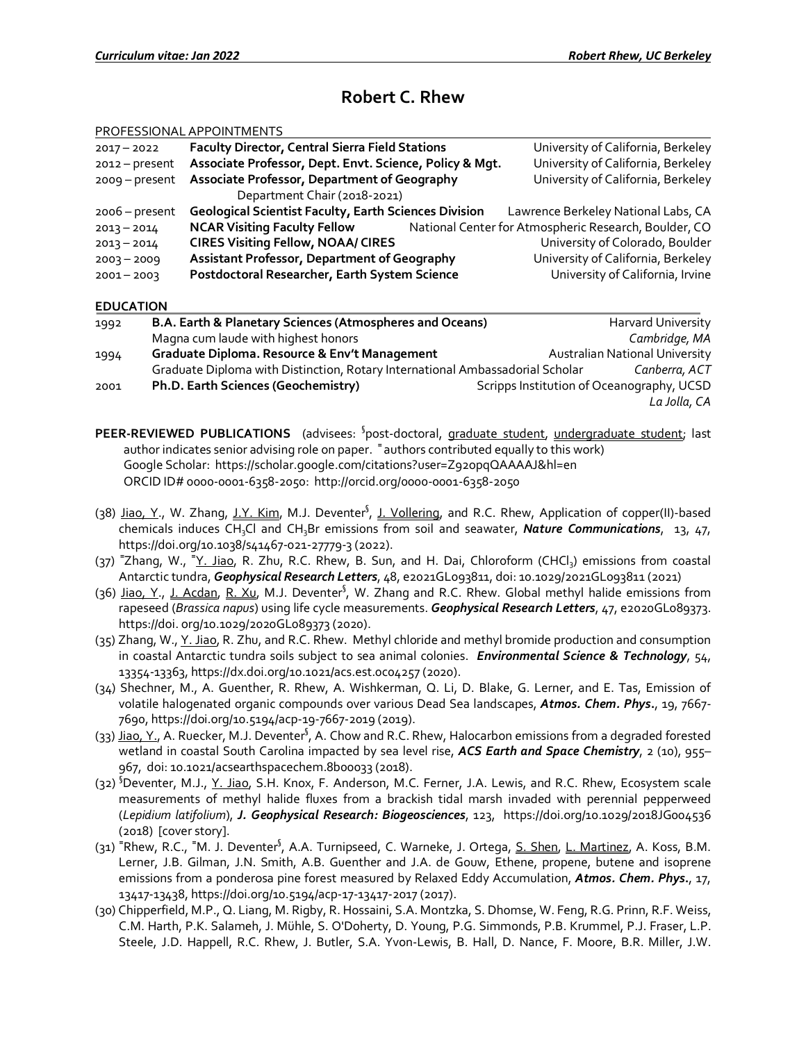# **Robert C. Rhew**

|                  | PROFESSIONAL APPOINTMENTS                                                     |                                                                                      |
|------------------|-------------------------------------------------------------------------------|--------------------------------------------------------------------------------------|
| $2017 - 2022$    | <b>Faculty Director, Central Sierra Field Stations</b>                        | University of California, Berkeley                                                   |
| $2012 - present$ | Associate Professor, Dept. Envt. Science, Policy & Mgt.                       | University of California, Berkeley                                                   |
| 2009 - present   | <b>Associate Professor, Department of Geography</b>                           | University of California, Berkeley                                                   |
|                  | Department Chair (2018-2021)                                                  |                                                                                      |
| $2006$ – present | <b>Geological Scientist Faculty, Earth Sciences Division</b>                  | Lawrence Berkeley National Labs, CA                                                  |
| $2013 - 2014$    | <b>NCAR Visiting Faculty Fellow</b>                                           | National Center for Atmospheric Research, Boulder, CO                                |
| $2013 - 2014$    | <b>CIRES Visiting Fellow, NOAA/ CIRES</b>                                     | University of Colorado, Boulder                                                      |
| $2003 - 2009$    | <b>Assistant Professor, Department of Geography</b>                           | University of California, Berkeley                                                   |
| $2001 - 2003$    | Postdoctoral Researcher, Earth System Science                                 | University of California, Irvine                                                     |
| <b>EDUCATION</b> |                                                                               |                                                                                      |
| 1992             | B.A. Earth & Planetary Sciences (Atmospheres and Oceans)                      | Harvard University                                                                   |
|                  | Magna cum laude with highest honors                                           | Cambridge, MA                                                                        |
| 1994             | <b>Graduate Diploma. Resource &amp; Env't Management</b>                      | <b>Australian National University</b>                                                |
|                  | Graduate Diploma with Distinction, Rotary International Ambassadorial Scholar | Canberra, ACT                                                                        |
| 2001             | Ph.D. Earth Sciences (Geochemistry)                                           | Scripps Institution of Oceanography, UCSD                                            |
|                  |                                                                               | La Jolla, CA                                                                         |
|                  | PEER-REVIEWED PUBLICATIONS                                                    | (advisees: <sup>§</sup> post-doctoral, graduate student, undergraduate student; last |

- author indicates senior advising role on paper. <sup>=</sup> authors contributed equally to this work) Google Scholar: https://scholar.google.com/citations?user=Z92opqQAAAAJ&hl=en ORCID ID# 0000-0001-6358-2050: http://orcid.org/0000-0001-6358-2050
- (38) Jiao, Y., W. Zhang, J.Y. Kim, M.J. Deventer<sup>§</sup>, J. Vollering, and R.C. Rhew, Application of copper(II)-based chemicals induces CH<sub>3</sub>Cl and CH<sub>3</sub>Br emissions from soil and seawater, *Nature Communications*, 13, 47, https://doi.org/10.1038/s41467-021-27779-3 (2022).
- (37) <sup>=</sup>Zhang, W., <sup>=</sup>Y. Jiao, R. Zhu, R.C. Rhew, B. Sun, and H. Dai, Chloroform (CHCl<sub>3</sub>) emissions from coastal Antarctic tundra, *Geophysical Research Letters*, 48, e2021GL093811, doi: 10.1029/2021GL093811 (2021)
- (36) Jiao, Y., J. Acdan, R. Xu, M.J. Deventer<sup>§</sup>, W. Zhang and R.C. Rhew. Global methyl halide emissions from rapeseed (*Brassica napus*) using life cycle measurements. *Geophysical Research Letters*, 47, e2020GL089373. https://doi. org/10.1029/2020GL089373 (2020).
- (35) Zhang, W., Y. Jiao, R. Zhu, and R.C. Rhew. Methyl chloride and methyl bromide production and consumption in coastal Antarctic tundra soils subject to sea animal colonies. *Environmental Science & Technology*, 54, 13354-13363, https://dx.doi.org/10.1021/acs.est.0c04257 (2020).
- (34) Shechner, M., A. Guenther, R. Rhew, A. Wishkerman, Q. Li, D. Blake, G. Lerner, and E. Tas, Emission of volatile halogenated organic compounds over various Dead Sea landscapes, *Atmos. Chem. Phys***.**, 19, 7667- 7690, https://doi.org/10.5194/acp-19-7667-2019 (2019).
- (33) Jiao, Y., A. Ruecker, M.J. Deventer<sup>§</sup>, A. Chow and R.C. Rhew, Halocarbon emissions from a degraded forested wetland in coastal South Carolina impacted by sea level rise, *ACS Earth and Space Chemistry*, 2 (10), 955– 967, doi: 10.1021/acsearthspacechem.8b00033 (2018).
- (32) <sup>S</sup>Deventer, M.J., Y. Jiao, S.H. Knox, F. Anderson, M.C. Ferner, J.A. Lewis, and R.C. Rhew, Ecosystem scale measurements of methyl halide fluxes from a brackish tidal marsh invaded with perennial pepperweed (*Lepidium latifolium*), *J. Geophysical Research: Biogeosciences*, 123, https://doi.org/10.1029/2018JG004536 (2018) [cover story].
- (31) **<sup>=</sup>** Rhew, R.C., **<sup>=</sup>** M. J. Deventer§ , A.A. Turnipseed, C. Warneke, J. Ortega, S. Shen, L. Martinez, A. Koss, B.M. Lerner, J.B. Gilman, J.N. Smith, A.B. Guenther and J.A. de Gouw, Ethene, propene, butene and isoprene emissions from a ponderosa pine forest measured by Relaxed Eddy Accumulation, *Atmos. Chem. Phys***.**, 17, 13417-13438, https://doi.org/10.5194/acp-17-13417-2017 (2017).
- (30) Chipperfield, M.P., Q. Liang, M. Rigby, R. Hossaini, S.A. Montzka, S. Dhomse, W. Feng, R.G. Prinn, R.F. Weiss, C.M. Harth, P.K. Salameh, J. Mühle, S. O'Doherty, D. Young, P.G. Simmonds, P.B. Krummel, P.J. Fraser, L.P. Steele, J.D. Happell, R.C. Rhew, J. Butler, S.A. Yvon-Lewis, B. Hall, D. Nance, F. Moore, B.R. Miller, J.W.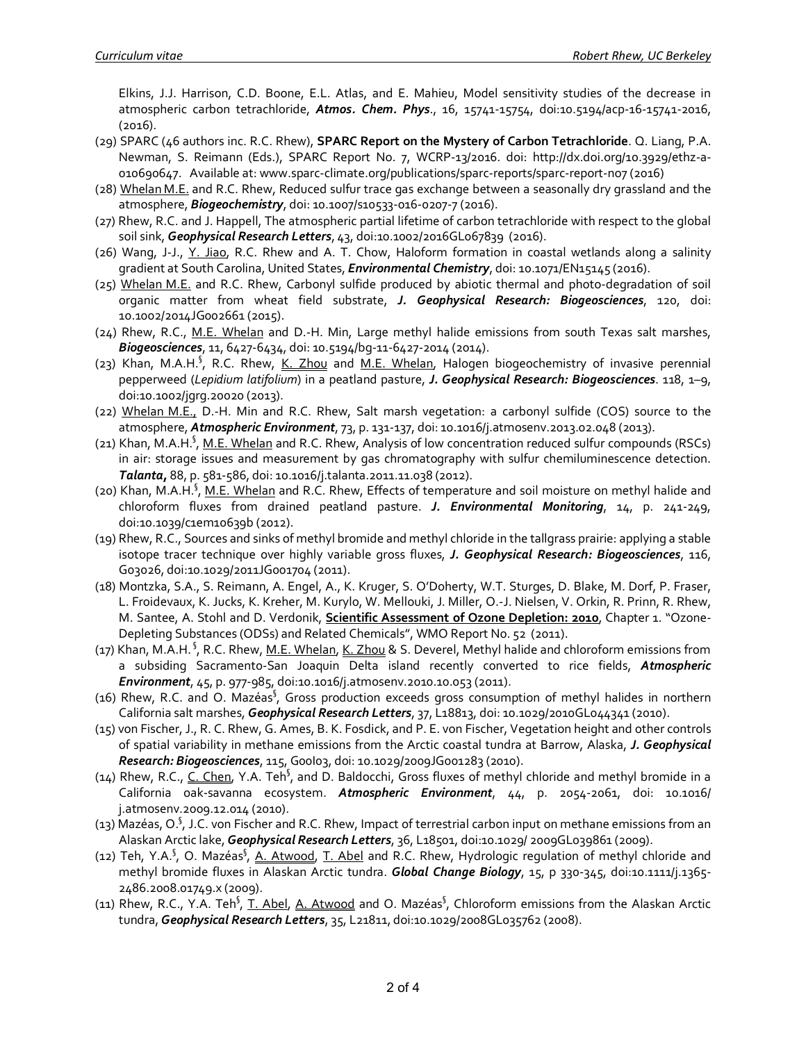Elkins, J.J. Harrison, C.D. Boone, E.L. Atlas, and E. Mahieu, Model sensitivity studies of the decrease in atmospheric carbon tetrachloride, *Atmos. Chem. Phys*., 16, 15741-15754, doi:10.5194/acp-16-15741-2016, (2016).

- (29) SPARC (46 authors inc. R.C. Rhew), **SPARC Report on the Mystery of Carbon Tetrachloride**. Q. Liang, P.A. Newman, S. Reimann (Eds.), SPARC Report No. 7, WCRP-13/2016. doi: http://dx.doi.org/10.3929/ethz-a-010690647. Available at: www.sparc-climate.org/publications/sparc-reports/sparc-report-no7 (2016)
- (28) Whelan M.E. and R.C. Rhew, Reduced sulfur trace gas exchange between a seasonally dry grassland and the atmosphere, *Biogeochemistry*, doi: 10.1007/s10533-016-0207-7 (2016).
- (27) Rhew, R.C. and J. Happell, The atmospheric partial lifetime of carbon tetrachloride with respect to the global soil sink, *Geophysical Research Letters*, 43, doi:10.1002/2016GL067839 (2016).
- (26) Wang, J-J., Y. Jiao, R.C. Rhew and A. T. Chow, Haloform formation in coastal wetlands along a salinity gradient at South Carolina, United States, *Environmental Chemistry*, doi: 10.1071/EN15145 (2016).
- (25) Whelan M.E. and R.C. Rhew, Carbonyl sulfide produced by abiotic thermal and photo-degradation of soil organic matter from wheat field substrate, *J. Geophysical Research: Biogeosciences*, 120, doi: 10.1002/2014JG002661 (2015).
- (24) Rhew, R.C., M.E. Whelan and D.-H. Min, Large methyl halide emissions from south Texas salt marshes, *Biogeosciences*, 11, 6427-6434, doi: 10.5194/bg-11-6427-2014 (2014).
- (23) Khan, M.A.H.<sup>§</sup>, R.C. Rhew, K. Zhou and M.E. Whelan, Halogen biogeochemistry of invasive perennial pepperweed (*Lepidium latifolium*) in a peatland pasture, *J. Geophysical Research: Biogeosciences*. 118, 1–9, doi:10.1002/jgrg.20020 (2013).
- (22) Whelan M.E., D.-H. Min and R.C. Rhew, Salt marsh vegetation: a carbonyl sulfide (COS) source to the atmosphere, *Atmospheric Environment*, 73, p. 131-137, doi: 10.1016/j.atmosenv.2013.02.048 (2013).
- (21) Khan, M.A.H.<sup>§</sup>, M.E. Whelan and R.C. Rhew, Analysis of low concentration reduced sulfur compounds (RSCs) in air: storage issues and measurement by gas chromatography with sulfur chemiluminescence detection. *Talanta***,** 88, p. 581-586, doi: 10.1016/j.talanta.2011.11.038 (2012).
- (20) Khan, M.A.H.<sup>§</sup>, <u>M.E. Whelan</u> and R.C. Rhew, Effects of temperature and soil moisture on methyl halide and chloroform fluxes from drained peatland pasture. *J. Environmental Monitoring*, 14, p. 241-249, doi:10.1039/c1em10639b (2012).
- (19) Rhew, R.C., Sources and sinks of methyl bromide and methyl chloride in the tallgrass prairie: applying a stable isotope tracer technique over highly variable gross fluxes, *J. Geophysical Research: Biogeosciences*, 116, G03026, doi:10.1029/2011JG001704 (2011).
- (18) Montzka, S.A., S. Reimann, A. Engel, A., K. Kruger, S. O'Doherty, W.T. Sturges, D. Blake, M. Dorf, P. Fraser, L. Froidevaux, K. Jucks, K. Kreher, M. Kurylo, W. Mellouki, J. Miller, O.-J. Nielsen, V. Orkin, R. Prinn, R. Rhew, M. Santee, A. Stohl and D. Verdonik, **Scientific Assessment of Ozone Depletion: 2010**, Chapter 1. "Ozone-Depleting Substances (ODSs) and Related Chemicals", WMO Report No. 52 (2011).
- (17) Khan, M.A.H. <sup>§</sup>, R.C. Rhew, <u>M.E. Whelan, K. Zhou</u> & S. Deverel, Methyl halide and chloroform emissions from a subsiding Sacramento-San Joaquin Delta island recently converted to rice fields, *Atmospheric Environment*, 45, p. 977-985, doi:10.1016/j.atmosenv.2010.10.053 (2011).
- (16) Rhew, R.C. and O. Mazéas<sup>§</sup>, Gross production exceeds gross consumption of methyl halides in northern California salt marshes, *Geophysical Research Letters*, 37, L18813, doi: 10.1029/2010GL044341 (2010).
- (15) von Fischer, J., R. C. Rhew, G. Ames, B. K. Fosdick, and P. E. von Fischer, Vegetation height and other controls of spatial variability in methane emissions from the Arctic coastal tundra at Barrow, Alaska, *J. Geophysical Research: Biogeosciences*, 115, G00I03, doi: 10.1029/2009JG001283 (2010).
- (14) Rhew, R.C., C. Chen, Y.A. Teh<sup>§</sup>, and D. Baldocchi, Gross fluxes of methyl chloride and methyl bromide in a California oak-savanna ecosystem. *Atmospheric Environment*, 44, p. 2054-2061, doi: 10.1016/ j.atmosenv.2009.12.014 (2010).
- (13) Mazéas, O.<sup>§</sup>, J.C. von Fischer and R.C. Rhew, Impact of terrestrial carbon input on methane emissions from an Alaskan Arctic lake, *Geophysical Research Letters*, 36, L18501, doi:10.1029/ 2009GL039861 (2009).
- (12) Teh, Y.A.<sup>§</sup>, O. Mazéas<sup>§</sup>, <u>A. Atwood</u>, <u>T. Abel</u> and R.C. Rhew, Hydrologic regulation of methyl chloride and methyl bromide fluxes in Alaskan Arctic tundra. *Global Change Biology*, 15, p 330-345, doi:10.1111/j.1365- 2486.2008.01749.x (2009).
- (11) Rhew, R.C., Y.A. Teh<sup>§</sup>, <u>T. Abel, A. Atwood</u> and O. Mazéas<sup>§</sup>, Chloroform emissions from the Alaskan Arctic tundra, *Geophysical Research Letters*, 35, L21811, doi:10.1029/2008GL035762 (2008).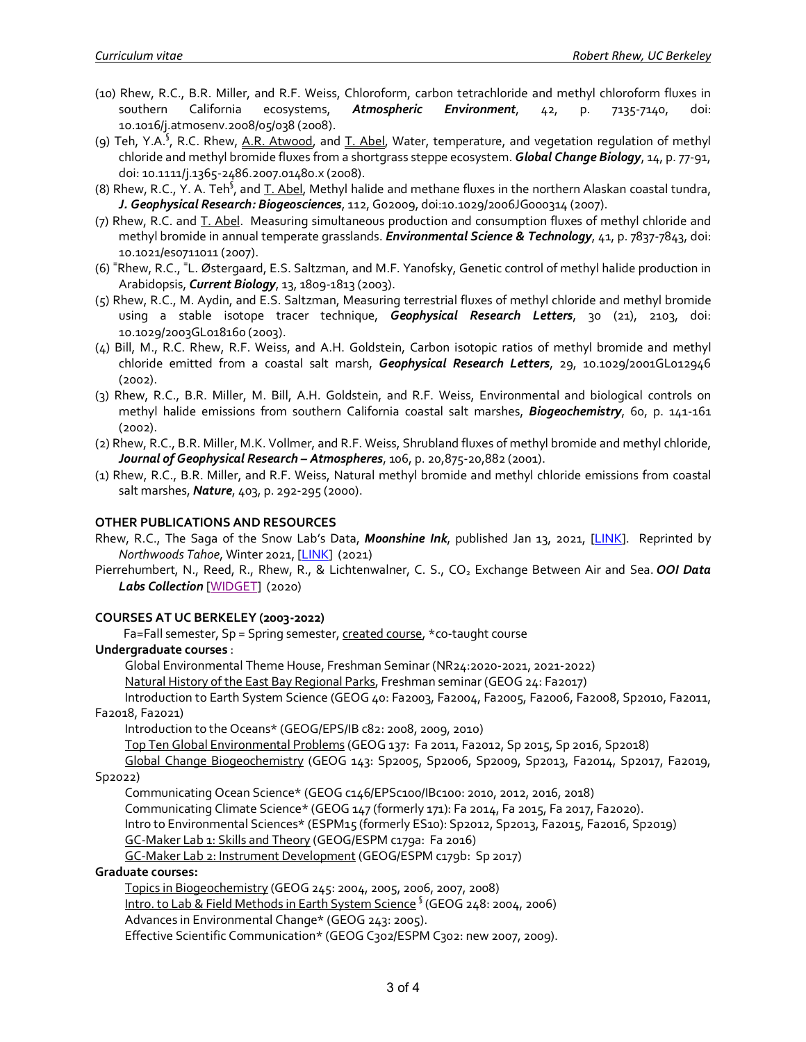- (10) Rhew, R.C., B.R. Miller, and R.F. Weiss, Chloroform, carbon tetrachloride and methyl chloroform fluxes in southern California ecosystems, *Atmospheric Environment*, 42, p. 7135-7140, doi: 10.1016/j.atmosenv.2008/05/038 (2008).
- (9) Teh, Y.A.<sup>§</sup>, R.C. Rhew, <u>A.R. Atwood</u>, and <u>T. Abel</u>, Water, temperature, and vegetation regulation of methyl chloride and methyl bromide fluxes from a shortgrass steppe ecosystem. *Global Change Biology*, 14, p. 77-91, doi: 10.1111/j.1365-2486.2007.01480.x (2008).
- (8) Rhew, R.C., Y. A. Teh<sup>§</sup>, and <u>T. Abel</u>, Methyl halide and methane fluxes in the northern Alaskan coastal tundra, *J. Geophysical Research: Biogeosciences*, 112, G02009, doi:10.1029/2006JG000314 (2007).
- (7) Rhew, R.C. and T. Abel. Measuring simultaneous production and consumption fluxes of methyl chloride and methyl bromide in annual temperate grasslands. *Environmental Science & Technology*, 41, p. 7837-7843, doi: 10.1021/es0711011 (2007).
- (6) **<sup>=</sup>** Rhew, R.C., **<sup>=</sup>** L. Østergaard, E.S. Saltzman, and M.F. Yanofsky, Genetic control of methyl halide production in Arabidopsis, *Current Biology*, 13, 1809-1813 (2003).
- (5) Rhew, R.C., M. Aydin, and E.S. Saltzman, Measuring terrestrial fluxes of methyl chloride and methyl bromide using a stable isotope tracer technique, *Geophysical Research Letters*, 30 (21), 2103, doi: 10.1029/2003GL018160 (2003).
- (4) Bill, M., R.C. Rhew, R.F. Weiss, and A.H. Goldstein, Carbon isotopic ratios of methyl bromide and methyl chloride emitted from a coastal salt marsh, *Geophysical Research Letters*, 29, 10.1029/2001GL012946 (2002).
- (3) Rhew, R.C., B.R. Miller, M. Bill, A.H. Goldstein, and R.F. Weiss, Environmental and biological controls on methyl halide emissions from southern California coastal salt marshes, *Biogeochemistry*, 60, p. 141-161 (2002).
- (2) Rhew, R.C., B.R. Miller, M.K. Vollmer, and R.F. Weiss, Shrubland fluxes of methyl bromide and methyl chloride, *Journal of Geophysical Research – Atmospheres*, 106, p. 20,875-20,882 (2001).
- (1) Rhew, R.C., B.R. Miller, and R.F. Weiss, Natural methyl bromide and methyl chloride emissions from coastal salt marshes, *Nature*, 403, p. 292-295 (2000).

## **OTHER PUBLICATIONS AND RESOURCES**

Rhew, R.C., The Saga of the Snow Lab's Data, *Moonshine Ink*, published Jan 13, 2021, [LINK]. Reprinted by *Northwoods Tahoe*, Winter 2021, [LINK] (2021)

Pierrehumbert, N., Reed, R., Rhew, R., & Lichtenwalner, C. S., CO<sub>2</sub> Exchange Between Air and Sea. *OOI Data Labs Collection* [WIDGET] (2020)

#### **COURSES AT UC BERKELEY (2003-2022)**

Fa=Fall semester, Sp = Spring semester, created course, \*co-taught course

## **Undergraduate courses** :

Global Environmental Theme House, Freshman Seminar (NR24:2020-2021, 2021-2022)

Natural History of the East Bay Regional Parks, Freshman seminar (GEOG 24: Fa2017)

Introduction to Earth System Science (GEOG 40: Fa2003, Fa2004, Fa2005, Fa2006, Fa2008, Sp2010, Fa2011, Fa2018, Fa2021)

Introduction to the Oceans\* (GEOG/EPS/IB c82: 2008, 2009, 2010)

Top Ten Global Environmental Problems (GEOG 137: Fa 2011, Fa2012, Sp 2015, Sp 2016, Sp2018)

Global Change Biogeochemistry (GEOG 143: Sp2005, Sp2006, Sp2009, Sp2013, Fa2014, Sp2017, Fa2019, Sp2022)

Communicating Ocean Science\* (GEOG c146/EPSc100/IBc100: 2010, 2012, 2016, 2018)

Communicating Climate Science\* (GEOG 147 (formerly 171): Fa 2014, Fa 2015, Fa 2017, Fa2020).

Intro to Environmental Sciences\* (ESPM15 (formerly ES10): Sp2012, Sp2013, Fa2015, Fa2016, Sp2019)

GC-Maker Lab 1: Skills and Theory (GEOG/ESPM c179a: Fa 2016)

GC-Maker Lab 2: Instrument Development (GEOG/ESPM c179b: Sp 2017)

### **Graduate courses:**

Topics in Biogeochemistry (GEOG 245: 2004, 2005, 2006, 2007, 2008)

Intro. to Lab & Field Methods in Earth System Science<sup>§</sup> (GEOG 248: 2004, 2006)

Advances in Environmental Change\* (GEOG 243: 2005).

Effective Scientific Communication\* (GEOG C302/ESPM C302: new 2007, 2009).